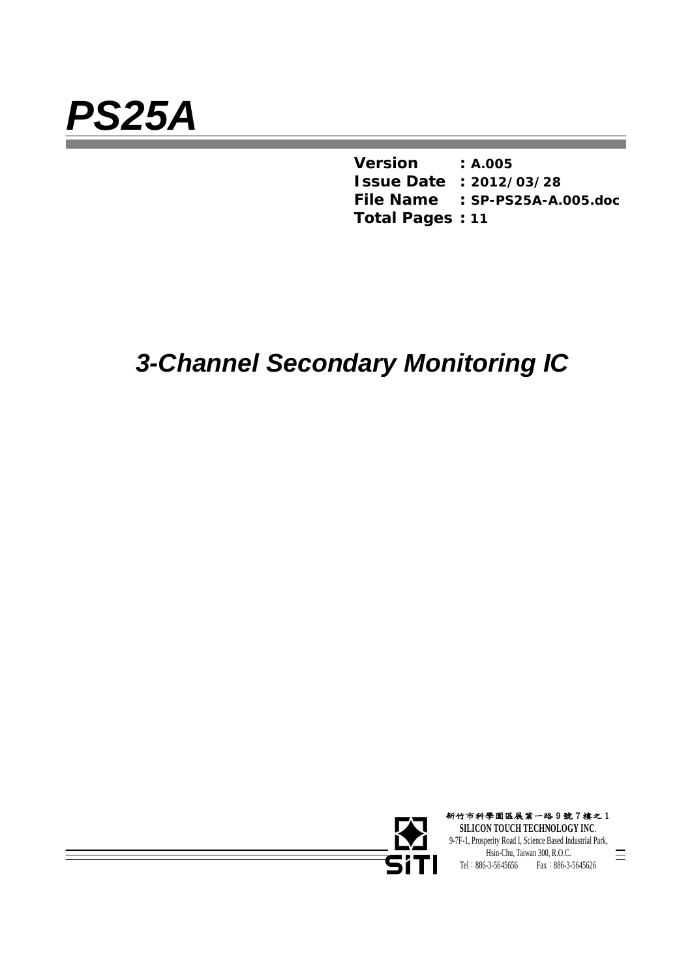$\frac{1}{\sqrt{2\pi}}\left( \frac{1}{\sqrt{2\pi}}\right) ^{2}=\frac{1}{2\sqrt{2\pi}}\left( \frac{1}{\sqrt{2\pi}}\right) ^{2}=\frac{1}{2\sqrt{2\pi}}\left( \frac{1}{2\sqrt{2\pi}}\right) ^{2}=\frac{1}{2\sqrt{2\pi}}\left( \frac{1}{2\sqrt{2\pi}}\right) ^{2}=\frac{1}{2\sqrt{2\pi}}\left( \frac{1}{2\sqrt{2\pi}}\right) ^{2}=\frac{1}{2\sqrt{2\pi}}\left( \frac{1}{2\sqrt{2\pi}}\right) ^{2}=\frac{1}{2\$ 

*Version* **:** *A.005 Issue Date* **:** *2012/03/28 File Name* **:** *SP-PS25A-A.005.doc Total Pages* **:** *11* 

# *3-Channel Secondary Monitoring IC*



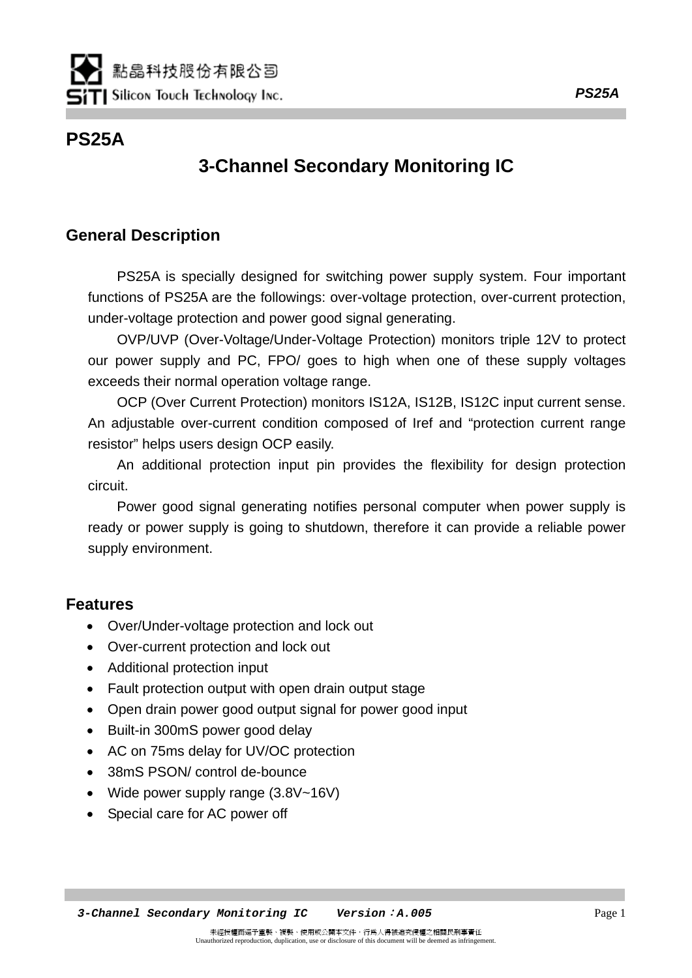# **PS25A**

# **3-Channel Secondary Monitoring IC**

# **General Description**

PS25A is specially designed for switching power supply system. Four important functions of PS25A are the followings: over-voltage protection, over-current protection, under-voltage protection and power good signal generating.

OVP/UVP (Over-Voltage/Under-Voltage Protection) monitors triple 12V to protect our power supply and PC, FPO/ goes to high when one of these supply voltages exceeds their normal operation voltage range.

OCP (Over Current Protection) monitors IS12A, IS12B, IS12C input current sense. An adjustable over-current condition composed of Iref and "protection current range resistor" helps users design OCP easily.

An additional protection input pin provides the flexibility for design protection circuit.

Power good signal generating notifies personal computer when power supply is ready or power supply is going to shutdown, therefore it can provide a reliable power supply environment.

# **Features**

- Over/Under-voltage protection and lock out
- Over-current protection and lock out
- Additional protection input
- Fault protection output with open drain output stage
- Open drain power good output signal for power good input
- Built-in 300mS power good delay
- AC on 75ms delay for UV/OC protection
- 38mS PSON/ control de-bounce
- Wide power supply range (3.8V~16V)
- Special care for AC power off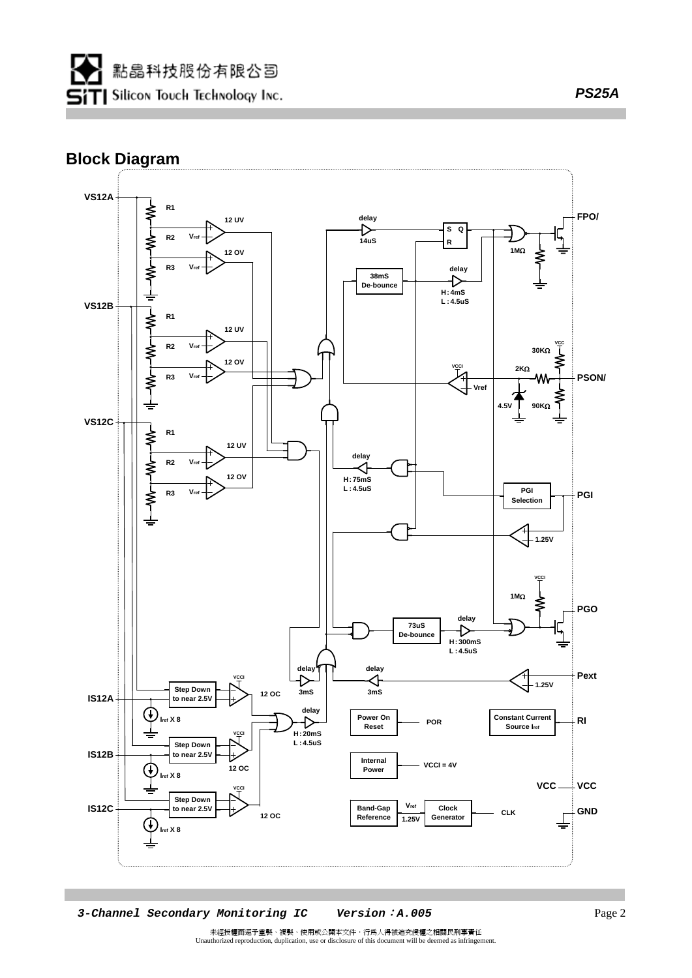### **Block Diagram**



未經授權而逕予重製、複製、使用或公開本文件,行為人得被追究侵權之相關民刑事責任 Unauthorized reproduction, duplication, use or disclosure of this document will be deemed as infringement.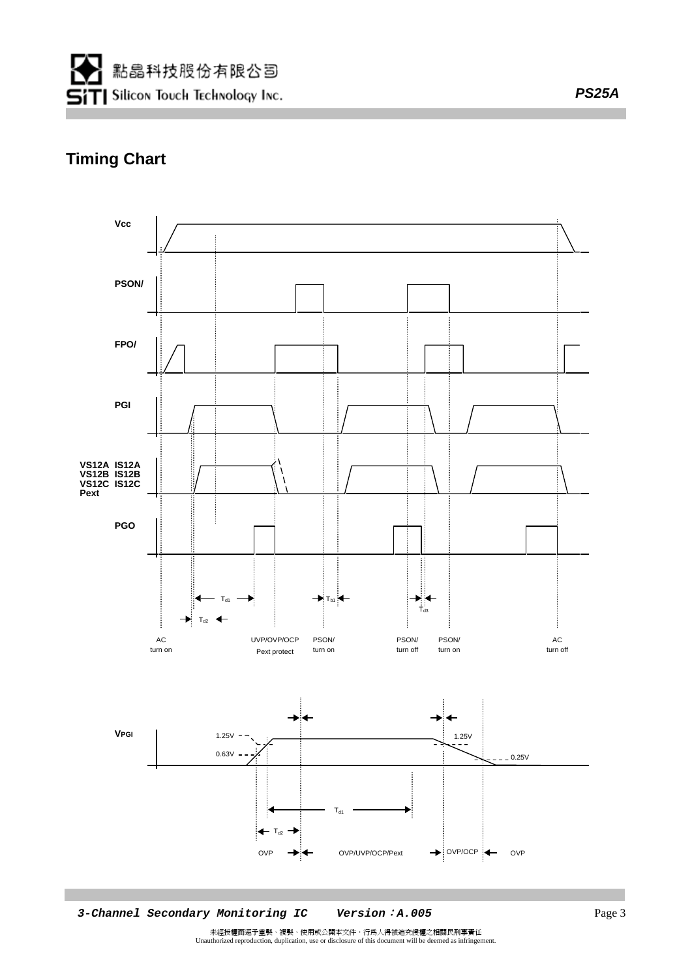

# **Timing Chart**



 *3-Channel Secondary Monitoring IC**Version*:*A.005* Page 3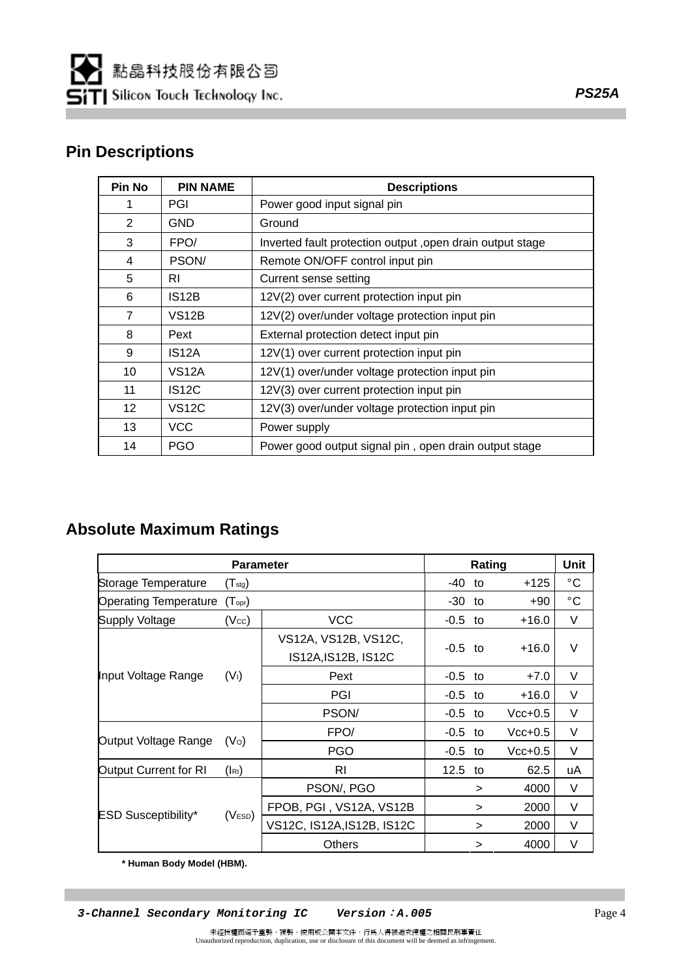# **Pin Descriptions**

| <b>Pin No</b>     | <b>PIN NAME</b>    | <b>Descriptions</b>                                       |
|-------------------|--------------------|-----------------------------------------------------------|
|                   | PGI                | Power good input signal pin                               |
| 2                 | <b>GND</b>         | Ground                                                    |
| 3                 | FPO/               | Inverted fault protection output, open drain output stage |
| 4                 | PSON/              | Remote ON/OFF control input pin                           |
| 5                 | RI                 | Current sense setting                                     |
| 6                 | IS <sub>12</sub> B | 12V(2) over current protection input pin                  |
| $\overline{7}$    | VS12B              | 12V(2) over/under voltage protection input pin            |
| 8                 | Pext               | External protection detect input pin                      |
| 9                 | IS <sub>12</sub> A | 12V(1) over current protection input pin                  |
| 10                | VS <sub>12</sub> A | 12V(1) over/under voltage protection input pin            |
| 11                | <b>IS12C</b>       | 12V(3) over current protection input pin                  |
| $12 \overline{ }$ | <b>VS12C</b>       | 12V(3) over/under voltage protection input pin            |
| 13                | <b>VCC</b>         | Power supply                                              |
| 14                | <b>PGO</b>         | Power good output signal pin, open drain output stage     |

# **Absolute Maximum Ratings**

| <b>Parameter</b>             |                     |                                             |           | <b>Unit</b> |           |              |
|------------------------------|---------------------|---------------------------------------------|-----------|-------------|-----------|--------------|
| Storage Temperature          | $(T_{\text{stg}})$  |                                             | -40       | to          | $+125$    | $^{\circ}$ C |
| <b>Operating Temperature</b> | $(T_{\text{opr}})$  |                                             | -30       | to          | $+90$     | $^{\circ}$ C |
| <b>Supply Voltage</b>        | (V <sub>cc</sub> )  | <b>VCC</b>                                  | -0.5      | to          | $+16.0$   | V            |
|                              |                     | VS12A, VS12B, VS12C,<br>IS12A, IS12B, IS12C | $-0.5$ to |             | $+16.0$   | V            |
| Input Voltage Range          | (V <sub>1</sub> )   | Pext                                        | -0.5      | to          | $+7.0$    | $\vee$       |
|                              |                     | PGI                                         | -0.5      | to          | $+16.0$   | V            |
|                              |                     | PSON/                                       | $-0.5$    | to          | $Vcc+0.5$ | V            |
|                              |                     | FPO/                                        | $-0.5$    | to          | $Vcc+0.5$ | $\vee$       |
| Output Voltage Range         | (V <sub>O</sub> )   | <b>PGO</b>                                  | $-0.5$    | to          | $Vcc+0.5$ | $\vee$       |
| Output Current for RI        | ( R )               | <b>RI</b>                                   | 12.5      | to          | 62.5      | uA           |
|                              |                     | PSON/, PGO                                  |           | >           | 4000      | V            |
|                              |                     | FPOB, PGI, VS12A, VS12B                     |           | $\geq$      | 2000      | V            |
| <b>ESD Susceptibility*</b>   | (V <sub>ESD</sub> ) | VS12C, IS12A, IS12B, IS12C                  |           | >           | 2000      | V            |
|                              |                     | <b>Others</b>                               |           | >           | 4000      | V            |

 **\* Human Body Model (HBM).**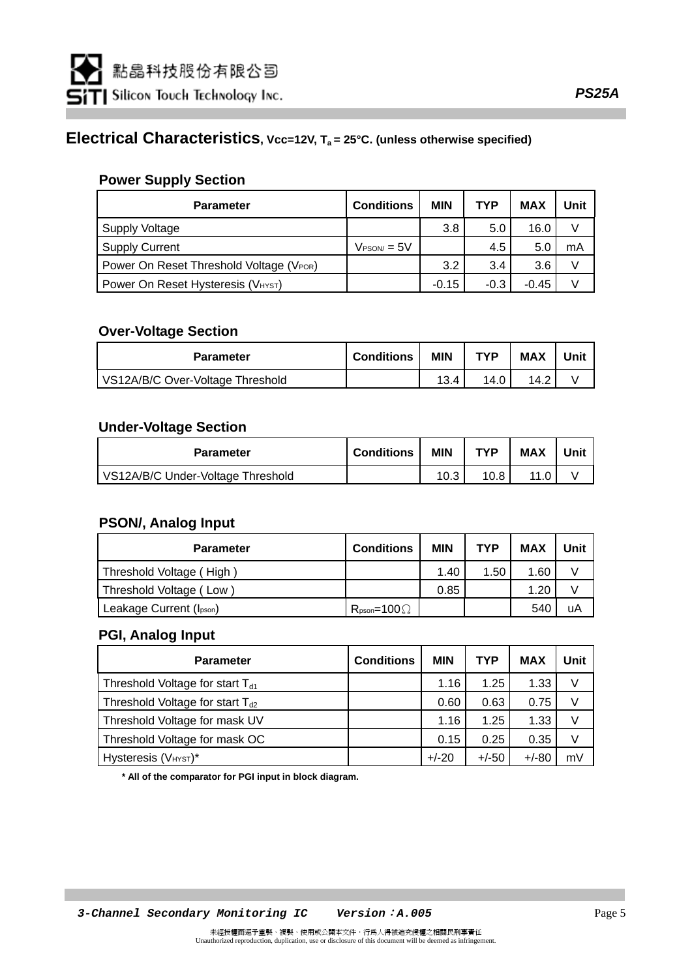### **Electrical Characteristics, Vcc=12V, Ta = 25°C. (unless otherwise specified)**

#### **Power Supply Section**

| <b>Parameter</b>                        | <b>Conditions</b>      | <b>MIN</b> | <b>TYP</b> | <b>MAX</b> | Unit |
|-----------------------------------------|------------------------|------------|------------|------------|------|
| Supply Voltage                          |                        | 3.8        | 5.0        | 16.0       |      |
| <b>Supply Current</b>                   | $V_{\text{PSON}} = 5V$ |            | 4.5        | 5(         | mA   |
| Power On Reset Threshold Voltage (VPOR) |                        | 3.2        | 3.4        | 3.6        |      |
| Power On Reset Hysteresis (VHYST)       |                        | $-0.15$    | $-0.3$     | $-0.45$    |      |

#### **Over-Voltage Section**

| <b>Parameter</b>                 | <b>Conditions</b> | <b>MIN</b> | <b>TYP</b> | <b>MAX</b> | Unit |
|----------------------------------|-------------------|------------|------------|------------|------|
| VS12A/B/C Over-Voltage Threshold |                   |            | 14.0       | 14.2       |      |

#### **Under-Voltage Section**

| <b>Parameter</b>                  | <b>Conditions</b> | <b>MIN</b> | <b>TYP</b> | <b>MAX</b> | Unit |
|-----------------------------------|-------------------|------------|------------|------------|------|
| VS12A/B/C Under-Voltage Threshold |                   |            | 10.8       |            |      |

#### **PSON/, Analog Input**

| <b>Parameter</b>         | <b>Conditions</b>              | <b>MIN</b> | <b>TYP</b> | <b>MAX</b> | Unit |
|--------------------------|--------------------------------|------------|------------|------------|------|
| Threshold Voltage (High) |                                | 1.40       | 1.50       | 1.60       |      |
| Threshold Voltage (Low)  |                                | 0.85       |            | 1.20       |      |
| Leakage Current (Ipson)  | $R_{\text{pson}} = 100 \Omega$ |            |            | 54C        | uA   |

#### **PGI, Analog Input**

| <b>Parameter</b>                     | <b>Conditions</b> | <b>MIN</b> | <b>TYP</b> | <b>MAX</b> | Unit |
|--------------------------------------|-------------------|------------|------------|------------|------|
| Threshold Voltage for start $T_{d1}$ |                   | 1.16       | 1.25       | 1.33       |      |
| Threshold Voltage for start $T_{d2}$ |                   | 0.60       | 0.63       | 0.75       | V    |
| Threshold Voltage for mask UV        |                   | 1.16       | 1.25       | 1.33       | V    |
| Threshold Voltage for mask OC        |                   | 0.15       | 0.25       | 0.35       |      |
| Hysteresis (VHYST)*                  |                   | $+/-20$    | $+/-50$    | $+/-80$    | m۷   |

 **\* All of the comparator for PGI input in block diagram.**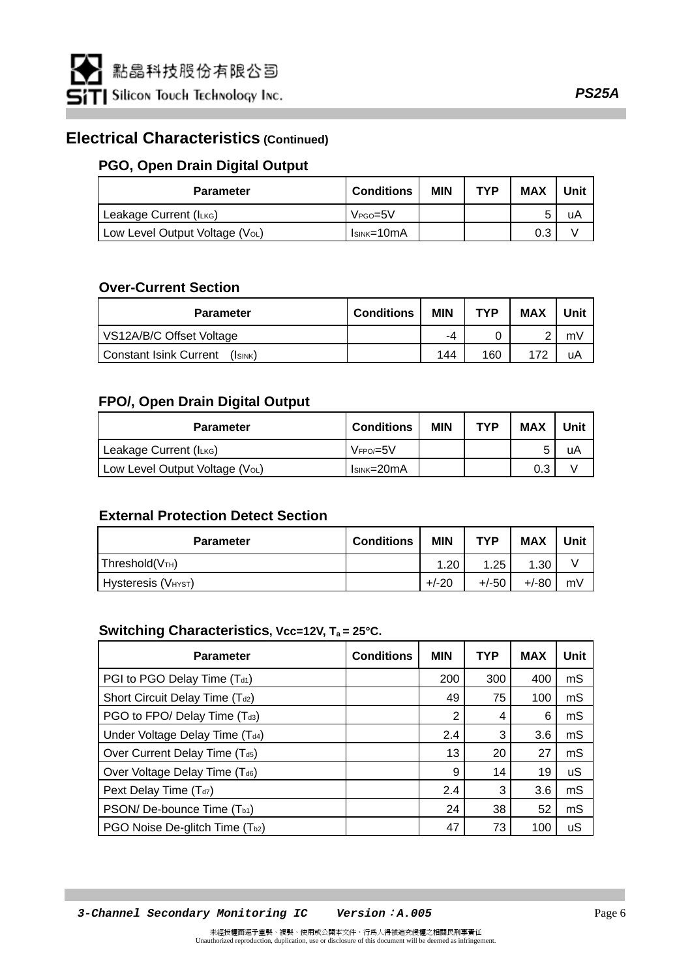### **Electrical Characteristics (Continued)**

#### **PGO, Open Drain Digital Output**

| <b>Parameter</b>               | <b>Conditions</b> | <b>MIN</b> | <b>TYP</b> | <b>MAX</b> | Unit |
|--------------------------------|-------------------|------------|------------|------------|------|
| Leakage Current (ILKG)         | $VPGO=5V$         |            |            |            | uA   |
| Low Level Output Voltage (VoL) | $IsINK=10mA$      |            |            |            |      |

#### **Over-Current Section**

| <b>Parameter</b>                   | <b>Conditions</b> | <b>MIN</b> | <b>TYP</b> | <b>MAX</b> | Unit |
|------------------------------------|-------------------|------------|------------|------------|------|
| VS12A/B/C Offset Voltage           |                   | -4         |            |            | mV   |
| I Constant Isink Current<br>Isink) |                   | 144        | 160        | 172        | uA   |

#### **FPO/, Open Drain Digital Output**

| <b>Parameter</b>               | <b>Conditions</b>   | <b>MIN</b> | <b>TYP</b> | <b>MAX</b> | Unit |
|--------------------------------|---------------------|------------|------------|------------|------|
| Leakage Current (ILKG)         | $V_F$ PO/ $=$ 5 $V$ |            |            |            | uA   |
| Low Level Output Voltage (VoL) | $IsINK=20mA$        |            |            | 0.3        |      |

#### **External Protection Detect Section**

| <b>Parameter</b>                | <b>Conditions</b> | <b>MIN</b> | <b>TYP</b> | <b>MAX</b> | Unit |
|---------------------------------|-------------------|------------|------------|------------|------|
| Threshold(VTH)                  |                   | 1.20       | .25        | 1.30       |      |
| Hysteresis (V <sub>HYST</sub> ) |                   | $+/-20$    | $+/-50$    | $+/-80$    | m٧   |

#### Switching Characteristics, Vcc=12V, T<sub>a</sub> = 25°C.

| <b>Parameter</b>                       | <b>Conditions</b> | <b>MIN</b> | <b>TYP</b> | <b>MAX</b> | Unit |
|----------------------------------------|-------------------|------------|------------|------------|------|
| PGI to PGO Delay Time (Td1)            |                   | 200        | 300        | 400        | mS   |
| Short Circuit Delay Time (Td2)         |                   | 49         | 75         | 100        | mS   |
| PGO to FPO/ Delay Time (Td3)           |                   | 2          | 4          | 6          | mS   |
| Under Voltage Delay Time (Td4)         |                   | 2.4        | 3          | 3.6        | mS   |
| Over Current Delay Time (Td5)          |                   | 13         | 20         | 27         | mS   |
| Over Voltage Delay Time (Td6)          |                   | 9          | 14         | 19         | uS   |
| Pext Delay Time $(Td7)$                |                   | 2.4        | 3          | 3.6        | mS   |
| PSON/De-bounce Time (T <sub>b1</sub> ) |                   | 24         | 38         | 52         | mS   |
| PGO Noise De-glitch Time (Tb2)         |                   | 47         | 73         | 100        | uS   |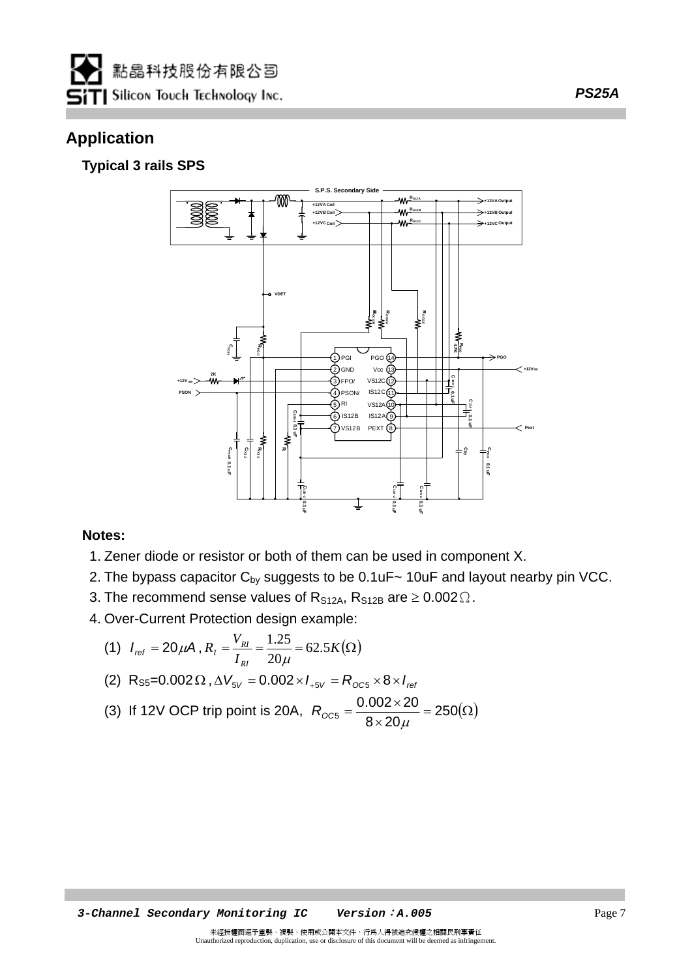

# **Application**

### **Typical 3 rails SPS**



#### **Notes:**

- 1. Zener diode or resistor or both of them can be used in component X.
- 2. The bypass capacitor  $C_{\text{bv}}$  suggests to be 0.1uF $\sim$  10uF and layout nearby pin VCC.
- 3. The recommend sense values of R<sub>S12A</sub>, R<sub>S12B</sub> are  $\geq 0.002 \Omega$ .
- 4. Over-Current Protection design example:

(1) 
$$
I_{ref} = 20 \mu A
$$
,  $R_{I} = \frac{V_{RI}}{I_{RI}} = \frac{1.25}{20 \mu} = 62.5 K(\Omega)$ 

(2) 
$$
R_{S5} = 0.002 \Omega
$$
,  $\Delta V_{SV} = 0.002 \times I_{.5V} = R_{OCS} \times 8 \times I_{ref}$ 

(3) If 12V OCP trip point is 20A, 
$$
R_{\text{OC5}} = \frac{0.002 \times 20}{8 \times 20 \mu} = 250(\Omega)
$$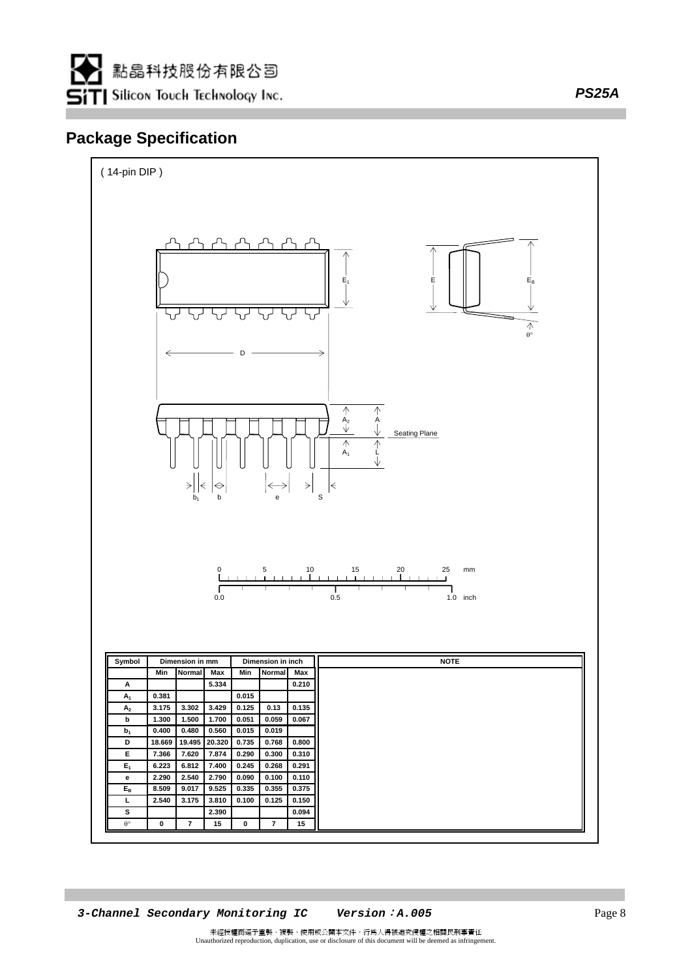

# **Package Specification**



*PS25A*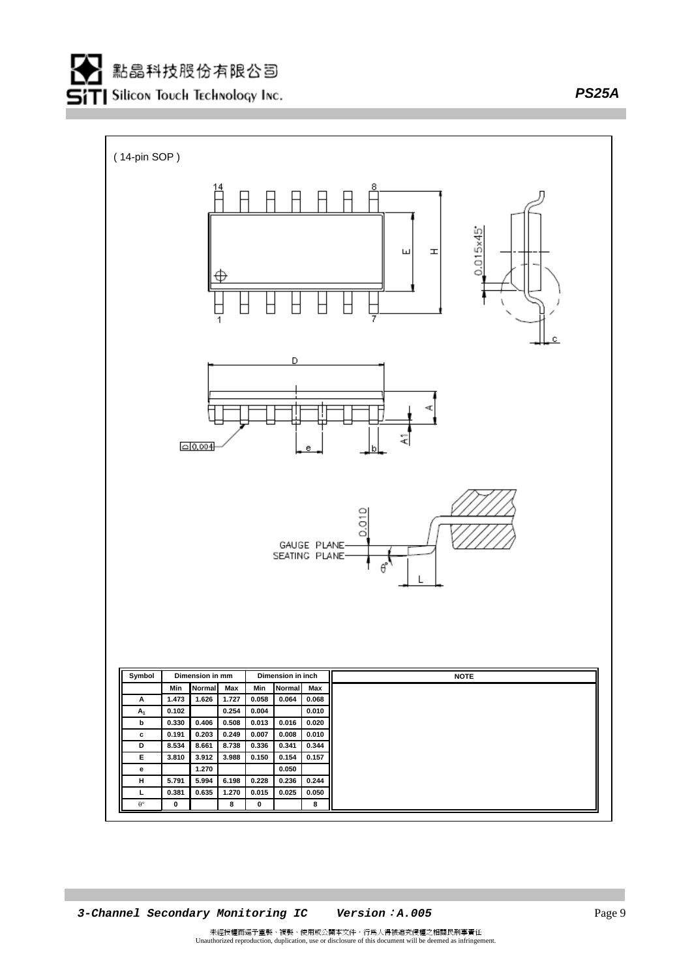*PS25A*